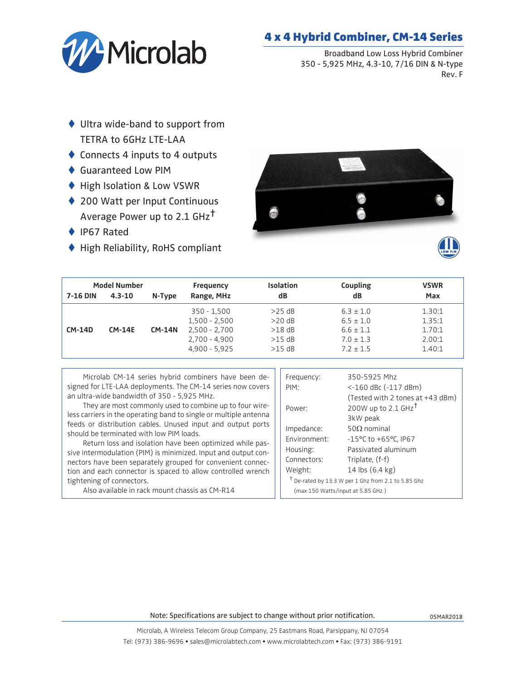

## 4 x 4 Hybrid Combiner, CM-14 Series

Broadband Low Loss Hybrid Combiner 350 - 5,925 MHz, 4.3-10, 7/16 DIN & N-type Rev. F

- $\blacklozenge$  Ultra wide-band to support from TETRA to 6GHz LTE-LAA
- $\triangle$  Connects 4 inputs to 4 outputs
- ◆ Guaranteed Low PIM
- $\blacklozenge$  High Isolation & Low VSWR
- ♦ 200 Watt per Input Continuous Average Power up to 2.1 GHz†
- $\blacklozenge$  IP67 Rated
- $\blacklozenge$  High Reliability, RoHS compliant





| <b>Model Number</b> |               |               | Frequency       | <b>Isolation</b> | Coupling      | <b>VSWR</b> |
|---------------------|---------------|---------------|-----------------|------------------|---------------|-------------|
| <b>7-16 DIN</b>     | $4.3 - 10$    | N-Type        | Range, MHz      | dB               | dB            | Max         |
|                     |               |               | $350 - 1,500$   | $>25$ dB         | $6.3 \pm 1.0$ | 1.30:1      |
|                     |               |               | $1,500 - 2,500$ | $>20$ dB         | $6.5 \pm 1.0$ | 1.35:1      |
| <b>CM-14D</b>       | <b>CM-14E</b> | <b>CM-14N</b> | $2,500 - 2,700$ | $>18$ dB         | $6.6 \pm 1.1$ | 1.70:1      |
|                     |               |               | $2.700 - 4.900$ | $>15$ dB         | $7.0 \pm 1.3$ | 2.00:1      |
|                     |               |               | $4,900 - 5,925$ | $>15$ dB         | $7.2 \pm 1.5$ | 1.40:1      |

Microlab CM-14 series hybrid combiners have been designed for LTE-LAA deployments. The CM-14 series now covers an ultra-wide bandwidth of 350 - 5,925 MHz.

They are most commonly used to combine up to four wireless carriers in the operating band to single or multiple antenna feeds or distribution cables. Unused input and output ports should be terminated with low PIM loads.

Return loss and isolation have been optimized while passive intermodulation (PIM) is minimized. Input and output connectors have been separately grouped for convenient connection and each connector is spaced to allow controlled wrench tightening of connectors.

Also available in rack mount chassis as CM-R14

| Frequency:                                            | 350-5925 Mhz                             |  |  |  |
|-------------------------------------------------------|------------------------------------------|--|--|--|
| PIM:                                                  | $<$ -160 dBc (-117 dBm)                  |  |  |  |
|                                                       | (Tested with 2 tones at +43 dBm)         |  |  |  |
| Power:                                                | 200W up to 2.1 GHz <sup>+</sup>          |  |  |  |
|                                                       | 3kW peak                                 |  |  |  |
| Impedance:                                            | 50 $\Omega$ nominal                      |  |  |  |
| Fnvironment:                                          | $-15^{\circ}$ C to $+65^{\circ}$ C, IP67 |  |  |  |
| Housing:                                              | Passivated aluminum                      |  |  |  |
| Connectors:                                           | Triplate, (f-f)                          |  |  |  |
| Weight:                                               | 14 lbs $(6.4 \text{ kg})$                |  |  |  |
| $†$ De-rated by 13.3 W per 1 Ghz from 2.1 to 5.85 Ghz |                                          |  |  |  |
| (max 150 Watts/input at 5.85 GHz)                     |                                          |  |  |  |

Note: Specifications are subject to change without prior notification.

Microlab, A Wireless Telecom Group Company, 25 Eastmans Road, Parsippany, NJ 07054 Tel: (973) 386-9696 • sales@microlabtech.com • www.microlabtech.com • Fax: (973) 386-9191